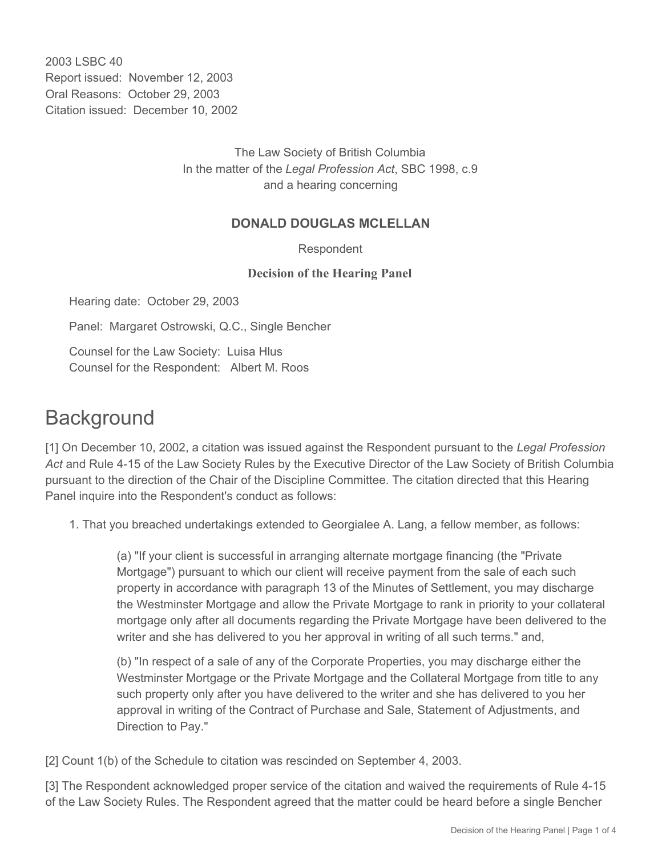2003 LSBC 40 Report issued: November 12, 2003 Oral Reasons: October 29, 2003 Citation issued: December 10, 2002

> The Law Society of British Columbia In the matter of the *Legal Profession Act*, SBC 1998, c.9 and a hearing concerning

## **DONALD DOUGLAS MCLELLAN**

Respondent

## **Decision of the Hearing Panel**

Hearing date: October 29, 2003

Panel: Margaret Ostrowski, Q.C., Single Bencher

Counsel for the Law Society: Luisa Hlus Counsel for the Respondent: Albert M. Roos

## **Background**

[1] On December 10, 2002, a citation was issued against the Respondent pursuant to the *Legal Profession Act* and Rule 4-15 of the Law Society Rules by the Executive Director of the Law Society of British Columbia pursuant to the direction of the Chair of the Discipline Committee. The citation directed that this Hearing Panel inquire into the Respondent's conduct as follows:

1. That you breached undertakings extended to Georgialee A. Lang, a fellow member, as follows:

(a) "If your client is successful in arranging alternate mortgage financing (the "Private Mortgage") pursuant to which our client will receive payment from the sale of each such property in accordance with paragraph 13 of the Minutes of Settlement, you may discharge the Westminster Mortgage and allow the Private Mortgage to rank in priority to your collateral mortgage only after all documents regarding the Private Mortgage have been delivered to the writer and she has delivered to you her approval in writing of all such terms." and,

(b) "In respect of a sale of any of the Corporate Properties, you may discharge either the Westminster Mortgage or the Private Mortgage and the Collateral Mortgage from title to any such property only after you have delivered to the writer and she has delivered to you her approval in writing of the Contract of Purchase and Sale, Statement of Adjustments, and Direction to Pay."

[2] Count 1(b) of the Schedule to citation was rescinded on September 4, 2003.

[3] The Respondent acknowledged proper service of the citation and waived the requirements of Rule 4-15 of the Law Society Rules. The Respondent agreed that the matter could be heard before a single Bencher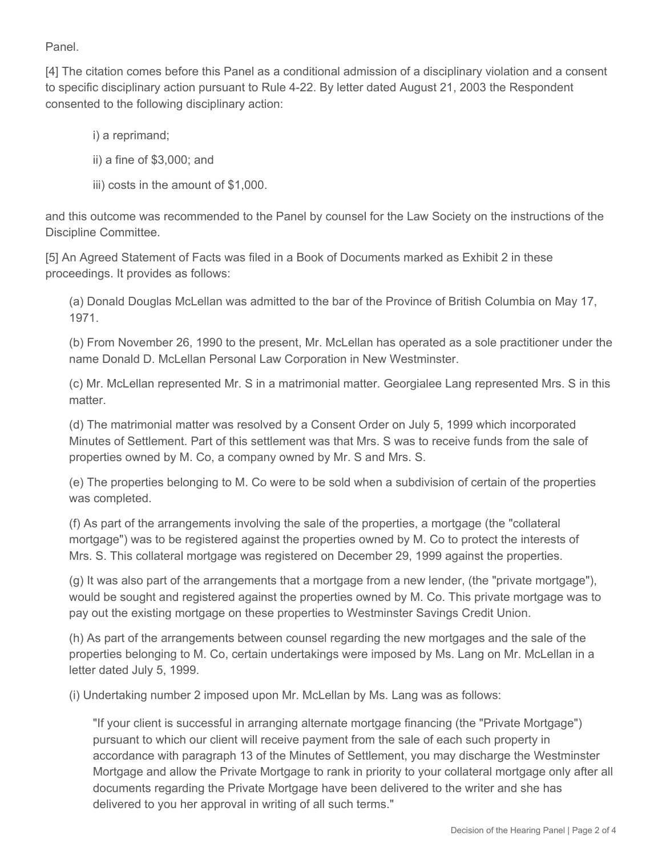Panel.

[4] The citation comes before this Panel as a conditional admission of a disciplinary violation and a consent to specific disciplinary action pursuant to Rule 4-22. By letter dated August 21, 2003 the Respondent consented to the following disciplinary action:

i) a reprimand;

ii) a fine of \$3,000; and

iii) costs in the amount of \$1,000.

and this outcome was recommended to the Panel by counsel for the Law Society on the instructions of the Discipline Committee.

[5] An Agreed Statement of Facts was filed in a Book of Documents marked as Exhibit 2 in these proceedings. It provides as follows:

(a) Donald Douglas McLellan was admitted to the bar of the Province of British Columbia on May 17, 1971.

(b) From November 26, 1990 to the present, Mr. McLellan has operated as a sole practitioner under the name Donald D. McLellan Personal Law Corporation in New Westminster.

(c) Mr. McLellan represented Mr. S in a matrimonial matter. Georgialee Lang represented Mrs. S in this matter.

(d) The matrimonial matter was resolved by a Consent Order on July 5, 1999 which incorporated Minutes of Settlement. Part of this settlement was that Mrs. S was to receive funds from the sale of properties owned by M. Co, a company owned by Mr. S and Mrs. S.

(e) The properties belonging to M. Co were to be sold when a subdivision of certain of the properties was completed.

(f) As part of the arrangements involving the sale of the properties, a mortgage (the "collateral mortgage") was to be registered against the properties owned by M. Co to protect the interests of Mrs. S. This collateral mortgage was registered on December 29, 1999 against the properties.

(g) It was also part of the arrangements that a mortgage from a new lender, (the "private mortgage"), would be sought and registered against the properties owned by M. Co. This private mortgage was to pay out the existing mortgage on these properties to Westminster Savings Credit Union.

(h) As part of the arrangements between counsel regarding the new mortgages and the sale of the properties belonging to M. Co, certain undertakings were imposed by Ms. Lang on Mr. McLellan in a letter dated July 5, 1999.

(i) Undertaking number 2 imposed upon Mr. McLellan by Ms. Lang was as follows:

"If your client is successful in arranging alternate mortgage financing (the "Private Mortgage") pursuant to which our client will receive payment from the sale of each such property in accordance with paragraph 13 of the Minutes of Settlement, you may discharge the Westminster Mortgage and allow the Private Mortgage to rank in priority to your collateral mortgage only after all documents regarding the Private Mortgage have been delivered to the writer and she has delivered to you her approval in writing of all such terms."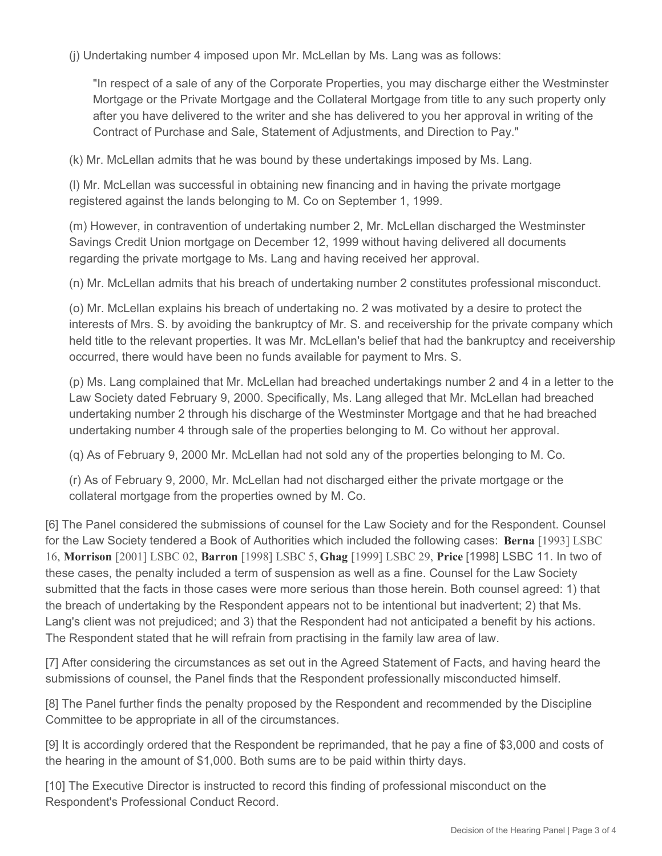(j) Undertaking number 4 imposed upon Mr. McLellan by Ms. Lang was as follows:

"In respect of a sale of any of the Corporate Properties, you may discharge either the Westminster Mortgage or the Private Mortgage and the Collateral Mortgage from title to any such property only after you have delivered to the writer and she has delivered to you her approval in writing of the Contract of Purchase and Sale, Statement of Adjustments, and Direction to Pay."

(k) Mr. McLellan admits that he was bound by these undertakings imposed by Ms. Lang.

(l) Mr. McLellan was successful in obtaining new financing and in having the private mortgage registered against the lands belonging to M. Co on September 1, 1999.

(m) However, in contravention of undertaking number 2, Mr. McLellan discharged the Westminster Savings Credit Union mortgage on December 12, 1999 without having delivered all documents regarding the private mortgage to Ms. Lang and having received her approval.

(n) Mr. McLellan admits that his breach of undertaking number 2 constitutes professional misconduct.

(o) Mr. McLellan explains his breach of undertaking no. 2 was motivated by a desire to protect the interests of Mrs. S. by avoiding the bankruptcy of Mr. S. and receivership for the private company which held title to the relevant properties. It was Mr. McLellan's belief that had the bankruptcy and receivership occurred, there would have been no funds available for payment to Mrs. S.

(p) Ms. Lang complained that Mr. McLellan had breached undertakings number 2 and 4 in a letter to the Law Society dated February 9, 2000. Specifically, Ms. Lang alleged that Mr. McLellan had breached undertaking number 2 through his discharge of the Westminster Mortgage and that he had breached undertaking number 4 through sale of the properties belonging to M. Co without her approval.

(q) As of February 9, 2000 Mr. McLellan had not sold any of the properties belonging to M. Co.

(r) As of February 9, 2000, Mr. McLellan had not discharged either the private mortgage or the collateral mortgage from the properties owned by M. Co.

[6] The Panel considered the submissions of counsel for the Law Society and for the Respondent. Counsel for the Law Society tendered a Book of Authorities which included the following cases: **Berna** [1993] LSBC 16, **Morrison** [2001] LSBC 02, **Barron** [1998] LSBC 5, **Ghag** [1999] LSBC 29, **Price** [1998] LSBC 11. In two of these cases, the penalty included a term of suspension as well as a fine. Counsel for the Law Society submitted that the facts in those cases were more serious than those herein. Both counsel agreed: 1) that the breach of undertaking by the Respondent appears not to be intentional but inadvertent; 2) that Ms. Lang's client was not prejudiced; and 3) that the Respondent had not anticipated a benefit by his actions. The Respondent stated that he will refrain from practising in the family law area of law.

[7] After considering the circumstances as set out in the Agreed Statement of Facts, and having heard the submissions of counsel, the Panel finds that the Respondent professionally misconducted himself.

[8] The Panel further finds the penalty proposed by the Respondent and recommended by the Discipline Committee to be appropriate in all of the circumstances.

[9] It is accordingly ordered that the Respondent be reprimanded, that he pay a fine of \$3,000 and costs of the hearing in the amount of \$1,000. Both sums are to be paid within thirty days.

[10] The Executive Director is instructed to record this finding of professional misconduct on the Respondent's Professional Conduct Record.